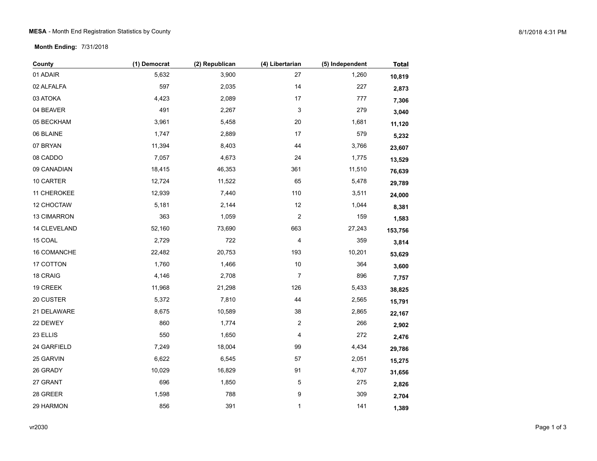**Month Ending:** 7/31/2018

| County       | (1) Democrat | (2) Republican | (4) Libertarian         | (5) Independent | <b>Total</b> |
|--------------|--------------|----------------|-------------------------|-----------------|--------------|
| 01 ADAIR     | 5,632        | 3,900          | 27                      | 1,260           | 10,819       |
| 02 ALFALFA   | 597          | 2,035          | 14                      | 227             | 2,873        |
| 03 ATOKA     | 4,423        | 2,089          | $17\,$                  | 777             | 7,306        |
| 04 BEAVER    | 491          | 2,267          | 3                       | 279             | 3,040        |
| 05 BECKHAM   | 3,961        | 5,458          | $20\,$                  | 1,681           | 11,120       |
| 06 BLAINE    | 1,747        | 2,889          | 17                      | 579             | 5,232        |
| 07 BRYAN     | 11,394       | 8,403          | 44                      | 3,766           | 23,607       |
| 08 CADDO     | 7,057        | 4,673          | 24                      | 1,775           | 13,529       |
| 09 CANADIAN  | 18,415       | 46,353         | 361                     | 11,510          | 76,639       |
| 10 CARTER    | 12,724       | 11,522         | 65                      | 5,478           | 29,789       |
| 11 CHEROKEE  | 12,939       | 7,440          | 110                     | 3,511           | 24,000       |
| 12 CHOCTAW   | 5,181        | 2,144          | 12                      | 1,044           | 8,381        |
| 13 CIMARRON  | 363          | 1,059          | $\overline{c}$          | 159             | 1,583        |
| 14 CLEVELAND | 52,160       | 73,690         | 663                     | 27,243          | 153,756      |
| 15 COAL      | 2,729        | 722            | 4                       | 359             | 3,814        |
| 16 COMANCHE  | 22,482       | 20,753         | 193                     | 10,201          | 53,629       |
| 17 COTTON    | 1,760        | 1,466          | $10$                    | 364             | 3,600        |
| 18 CRAIG     | 4,146        | 2,708          | $\overline{7}$          | 896             | 7,757        |
| 19 CREEK     | 11,968       | 21,298         | 126                     | 5,433           | 38,825       |
| 20 CUSTER    | 5,372        | 7,810          | 44                      | 2,565           | 15,791       |
| 21 DELAWARE  | 8,675        | 10,589         | 38                      | 2,865           | 22,167       |
| 22 DEWEY     | 860          | 1,774          | $\overline{\mathbf{c}}$ | 266             | 2,902        |
| 23 ELLIS     | 550          | 1,650          | 4                       | 272             | 2,476        |
| 24 GARFIELD  | 7,249        | 18,004         | 99                      | 4,434           | 29,786       |
| 25 GARVIN    | 6,622        | 6,545          | 57                      | 2,051           | 15,275       |
| 26 GRADY     | 10,029       | 16,829         | 91                      | 4,707           | 31,656       |
| 27 GRANT     | 696          | 1,850          | $\mathbf 5$             | 275             | 2,826        |
| 28 GREER     | 1,598        | 788            | 9                       | 309             | 2,704        |
| 29 HARMON    | 856          | 391            | 1                       | 141             | 1,389        |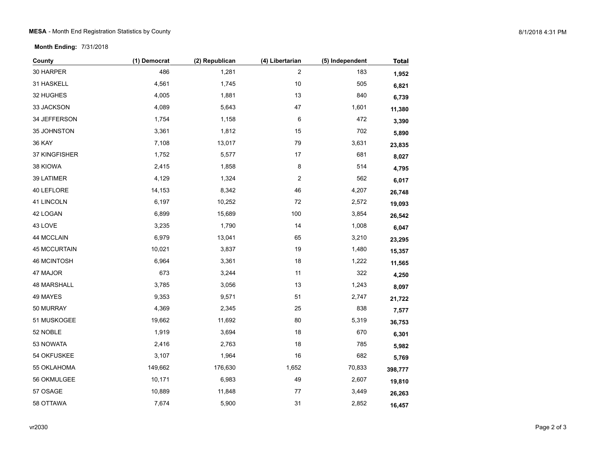**Month Ending:** 7/31/2018

| County              | (1) Democrat | (2) Republican | (4) Libertarian         | (5) Independent | <b>Total</b> |
|---------------------|--------------|----------------|-------------------------|-----------------|--------------|
| 30 HARPER           | 486          | 1,281          | $\overline{c}$          | 183             | 1,952        |
| 31 HASKELL          | 4,561        | 1,745          | $10$                    | 505             | 6,821        |
| 32 HUGHES           | 4,005        | 1,881          | 13                      | 840             | 6,739        |
| 33 JACKSON          | 4,089        | 5,643          | 47                      | 1,601           | 11,380       |
| 34 JEFFERSON        | 1,754        | 1,158          | 6                       | 472             | 3,390        |
| 35 JOHNSTON         | 3,361        | 1,812          | 15                      | 702             | 5,890        |
| <b>36 KAY</b>       | 7,108        | 13,017         | 79                      | 3,631           | 23,835       |
| 37 KINGFISHER       | 1,752        | 5,577          | $17$                    | 681             | 8,027        |
| 38 KIOWA            | 2,415        | 1,858          | 8                       | 514             | 4,795        |
| 39 LATIMER          | 4,129        | 1,324          | $\overline{\mathbf{c}}$ | 562             | 6,017        |
| 40 LEFLORE          | 14,153       | 8,342          | 46                      | 4,207           | 26,748       |
| 41 LINCOLN          | 6,197        | 10,252         | 72                      | 2,572           | 19,093       |
| 42 LOGAN            | 6,899        | 15,689         | 100                     | 3,854           | 26,542       |
| 43 LOVE             | 3,235        | 1,790          | 14                      | 1,008           | 6,047        |
| 44 MCCLAIN          | 6,979        | 13,041         | 65                      | 3,210           | 23,295       |
| <b>45 MCCURTAIN</b> | 10,021       | 3,837          | 19                      | 1,480           | 15,357       |
| 46 MCINTOSH         | 6,964        | 3,361          | $18$                    | 1,222           | 11,565       |
| 47 MAJOR            | 673          | 3,244          | 11                      | 322             | 4,250        |
| 48 MARSHALL         | 3,785        | 3,056          | 13                      | 1,243           | 8,097        |
| 49 MAYES            | 9,353        | 9,571          | 51                      | 2,747           | 21,722       |
| 50 MURRAY           | 4,369        | 2,345          | 25                      | 838             | 7,577        |
| 51 MUSKOGEE         | 19,662       | 11,692         | 80                      | 5,319           | 36,753       |
| 52 NOBLE            | 1,919        | 3,694          | 18                      | 670             | 6,301        |
| 53 NOWATA           | 2,416        | 2,763          | 18                      | 785             | 5,982        |
| 54 OKFUSKEE         | 3,107        | 1,964          | 16                      | 682             | 5,769        |
| 55 OKLAHOMA         | 149,662      | 176,630        | 1,652                   | 70,833          | 398,777      |
| 56 OKMULGEE         | 10,171       | 6,983          | 49                      | 2,607           | 19,810       |
| 57 OSAGE            | 10,889       | 11,848         | 77                      | 3,449           | 26,263       |
| 58 OTTAWA           | 7,674        | 5,900          | 31                      | 2,852           | 16,457       |